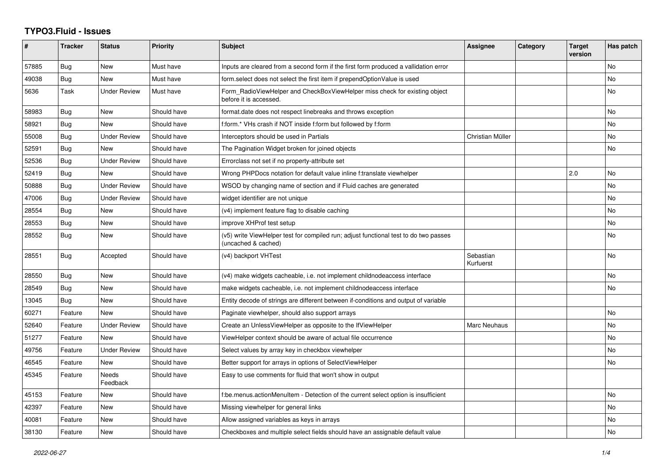## **TYPO3.Fluid - Issues**

| ∦     | <b>Tracker</b> | <b>Status</b>       | <b>Priority</b> | <b>Subject</b>                                                                                              | Assignee               | Category | <b>Target</b><br>version | Has patch |
|-------|----------------|---------------------|-----------------|-------------------------------------------------------------------------------------------------------------|------------------------|----------|--------------------------|-----------|
| 57885 | Bug            | New                 | Must have       | Inputs are cleared from a second form if the first form produced a vallidation error                        |                        |          |                          | No        |
| 49038 | Bug            | New                 | Must have       | form.select does not select the first item if prependOptionValue is used                                    |                        |          |                          | <b>No</b> |
| 5636  | Task           | <b>Under Review</b> | Must have       | Form RadioViewHelper and CheckBoxViewHelper miss check for existing object<br>before it is accessed.        |                        |          |                          | <b>No</b> |
| 58983 | <b>Bug</b>     | <b>New</b>          | Should have     | format.date does not respect linebreaks and throws exception                                                |                        |          |                          | <b>No</b> |
| 58921 | Bug            | <b>New</b>          | Should have     | f:form.* VHs crash if NOT inside f:form but followed by f:form                                              |                        |          |                          | No        |
| 55008 | Bug            | <b>Under Review</b> | Should have     | Interceptors should be used in Partials                                                                     | Christian Müller       |          |                          | <b>No</b> |
| 52591 | Bug            | <b>New</b>          | Should have     | The Pagination Widget broken for joined objects                                                             |                        |          |                          | <b>No</b> |
| 52536 | <b>Bug</b>     | <b>Under Review</b> | Should have     | Errorclass not set if no property-attribute set                                                             |                        |          |                          |           |
| 52419 | Bug            | <b>New</b>          | Should have     | Wrong PHPDocs notation for default value inline f:translate viewhelper                                      |                        |          | 2.0                      | <b>No</b> |
| 50888 | <b>Bug</b>     | <b>Under Review</b> | Should have     | WSOD by changing name of section and if Fluid caches are generated                                          |                        |          |                          | <b>No</b> |
| 47006 | Bug            | <b>Under Review</b> | Should have     | widget identifier are not unique                                                                            |                        |          |                          | No        |
| 28554 | <b>Bug</b>     | New                 | Should have     | (v4) implement feature flag to disable caching                                                              |                        |          |                          | No        |
| 28553 | Bug            | <b>New</b>          | Should have     | improve XHProf test setup                                                                                   |                        |          |                          | <b>No</b> |
| 28552 | Bug            | New                 | Should have     | (v5) write ViewHelper test for compiled run; adjust functional test to do two passes<br>(uncached & cached) |                        |          |                          | No        |
| 28551 | Bug            | Accepted            | Should have     | (v4) backport VHTest                                                                                        | Sebastian<br>Kurfuerst |          |                          | <b>No</b> |
| 28550 | Bug            | <b>New</b>          | Should have     | (v4) make widgets cacheable, i.e. not implement childnodeaccess interface                                   |                        |          |                          | <b>No</b> |
| 28549 | Bug            | New                 | Should have     | make widgets cacheable, i.e. not implement childnodeaccess interface                                        |                        |          |                          | <b>No</b> |
| 13045 | Bug            | New                 | Should have     | Entity decode of strings are different between if-conditions and output of variable                         |                        |          |                          |           |
| 60271 | Feature        | <b>New</b>          | Should have     | Paginate viewhelper, should also support arrays                                                             |                        |          |                          | <b>No</b> |
| 52640 | Feature        | <b>Under Review</b> | Should have     | Create an UnlessViewHelper as opposite to the IfViewHelper                                                  | Marc Neuhaus           |          |                          | No        |
| 51277 | Feature        | <b>New</b>          | Should have     | ViewHelper context should be aware of actual file occurrence                                                |                        |          |                          | <b>No</b> |
| 49756 | Feature        | <b>Under Review</b> | Should have     | Select values by array key in checkbox viewhelper                                                           |                        |          |                          | No        |
| 46545 | Feature        | New                 | Should have     | Better support for arrays in options of SelectViewHelper                                                    |                        |          |                          | <b>No</b> |
| 45345 | Feature        | Needs<br>Feedback   | Should have     | Easy to use comments for fluid that won't show in output                                                    |                        |          |                          |           |
| 45153 | Feature        | <b>New</b>          | Should have     | f:be.menus.actionMenuItem - Detection of the current select option is insufficient                          |                        |          |                          | <b>No</b> |
| 42397 | Feature        | <b>New</b>          | Should have     | Missing viewhelper for general links                                                                        |                        |          |                          | No        |
| 40081 | Feature        | <b>New</b>          | Should have     | Allow assigned variables as keys in arrays                                                                  |                        |          |                          | No        |
| 38130 | Feature        | New                 | Should have     | Checkboxes and multiple select fields should have an assignable default value                               |                        |          |                          | No        |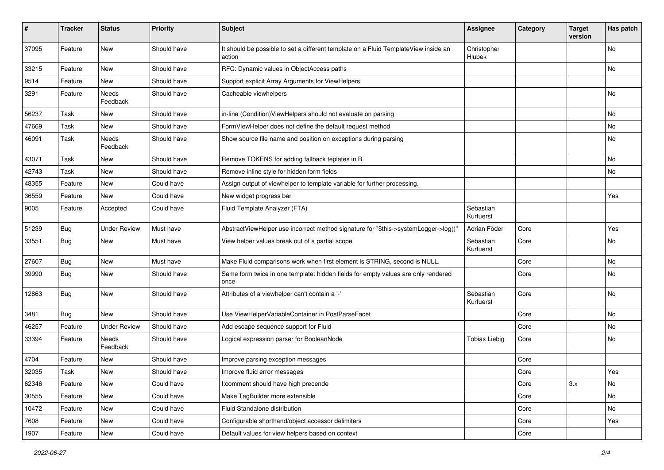| #     | <b>Tracker</b> | <b>Status</b>       | <b>Priority</b> | Subject                                                                                       | Assignee               | Category | <b>Target</b><br>version | Has patch |
|-------|----------------|---------------------|-----------------|-----------------------------------------------------------------------------------------------|------------------------|----------|--------------------------|-----------|
| 37095 | Feature        | <b>New</b>          | Should have     | It should be possible to set a different template on a Fluid TemplateView inside an<br>action | Christopher<br>Hlubek  |          |                          | <b>No</b> |
| 33215 | Feature        | New                 | Should have     | RFC: Dynamic values in ObjectAccess paths                                                     |                        |          |                          | No        |
| 9514  | Feature        | New                 | Should have     | Support explicit Array Arguments for ViewHelpers                                              |                        |          |                          |           |
| 3291  | Feature        | Needs<br>Feedback   | Should have     | Cacheable viewhelpers                                                                         |                        |          |                          | <b>No</b> |
| 56237 | Task           | New                 | Should have     | in-line (Condition) ViewHelpers should not evaluate on parsing                                |                        |          |                          | No        |
| 47669 | Task           | <b>New</b>          | Should have     | FormViewHelper does not define the default request method                                     |                        |          |                          | No        |
| 46091 | Task           | Needs<br>Feedback   | Should have     | Show source file name and position on exceptions during parsing                               |                        |          |                          | No        |
| 43071 | Task           | <b>New</b>          | Should have     | Remove TOKENS for adding fallback teplates in B                                               |                        |          |                          | No        |
| 42743 | Task           | <b>New</b>          | Should have     | Remove inline style for hidden form fields                                                    |                        |          |                          | No        |
| 48355 | Feature        | <b>New</b>          | Could have      | Assign output of viewhelper to template variable for further processing.                      |                        |          |                          |           |
| 36559 | Feature        | <b>New</b>          | Could have      | New widget progress bar                                                                       |                        |          |                          | Yes       |
| 9005  | Feature        | Accepted            | Could have      | Fluid Template Analyzer (FTA)                                                                 | Sebastian<br>Kurfuerst |          |                          |           |
| 51239 | Bug            | <b>Under Review</b> | Must have       | AbstractViewHelper use incorrect method signature for "\$this->systemLogger->log()"           | Adrian Föder           | Core     |                          | Yes       |
| 33551 | Bug            | <b>New</b>          | Must have       | View helper values break out of a partial scope                                               | Sebastian<br>Kurfuerst | Core     |                          | No        |
| 27607 | Bug            | New                 | Must have       | Make Fluid comparisons work when first element is STRING, second is NULL.                     |                        | Core     |                          | No        |
| 39990 | Bug            | New                 | Should have     | Same form twice in one template: hidden fields for empty values are only rendered<br>once     |                        | Core     |                          | No        |
| 12863 | Bug            | <b>New</b>          | Should have     | Attributes of a viewhelper can't contain a '-'                                                | Sebastian<br>Kurfuerst | Core     |                          | No        |
| 3481  | Bug            | New                 | Should have     | Use ViewHelperVariableContainer in PostParseFacet                                             |                        | Core     |                          | <b>No</b> |
| 46257 | Feature        | <b>Under Review</b> | Should have     | Add escape sequence support for Fluid                                                         |                        | Core     |                          | No        |
| 33394 | Feature        | Needs<br>Feedback   | Should have     | Logical expression parser for BooleanNode                                                     | <b>Tobias Liebig</b>   | Core     |                          | No        |
| 4704  | Feature        | New                 | Should have     | Improve parsing exception messages                                                            |                        | Core     |                          |           |
| 32035 | Task           | New                 | Should have     | Improve fluid error messages                                                                  |                        | Core     |                          | Yes       |
| 62346 | Feature        | New                 | Could have      | f:comment should have high precende                                                           |                        | Core     | 3.x                      | No        |
| 30555 | Feature        | New                 | Could have      | Make TagBuilder more extensible                                                               |                        | Core     |                          | No        |
| 10472 | Feature        | New                 | Could have      | Fluid Standalone distribution                                                                 |                        | Core     |                          | No        |
| 7608  | Feature        | New                 | Could have      | Configurable shorthand/object accessor delimiters                                             |                        | Core     |                          | Yes       |
| 1907  | Feature        | New                 | Could have      | Default values for view helpers based on context                                              |                        | Core     |                          |           |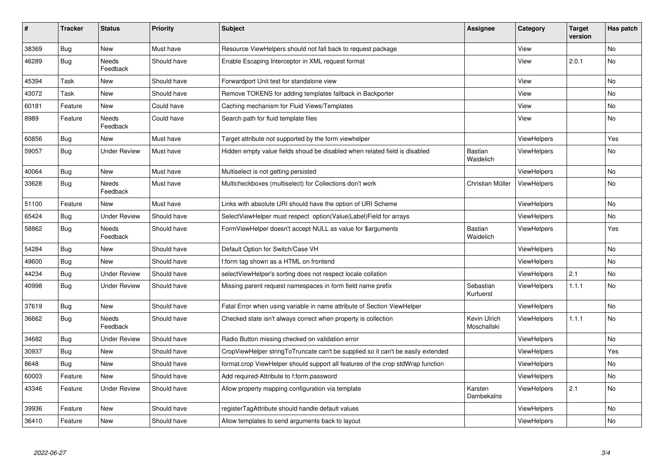| $\pmb{\#}$ | <b>Tracker</b> | <b>Status</b>            | <b>Priority</b> | Subject                                                                          | Assignee                    | Category           | <b>Target</b><br>version | Has patch      |
|------------|----------------|--------------------------|-----------------|----------------------------------------------------------------------------------|-----------------------------|--------------------|--------------------------|----------------|
| 38369      | <b>Bug</b>     | <b>New</b>               | Must have       | Resource ViewHelpers should not fall back to request package                     |                             | View               |                          | <b>No</b>      |
| 46289      | Bug            | Needs<br>Feedback        | Should have     | Enable Escaping Interceptor in XML request format                                |                             | View               | 2.0.1                    | No             |
| 45394      | Task           | New                      | Should have     | Forwardport Unit test for standalone view                                        |                             | View               |                          | No             |
| 43072      | Task           | New                      | Should have     | Remove TOKENS for adding templates fallback in Backporter                        |                             | View               |                          | No             |
| 60181      | Feature        | New                      | Could have      | Caching mechanism for Fluid Views/Templates                                      |                             | View               |                          | No             |
| 8989       | Feature        | Needs<br>Feedback        | Could have      | Search path for fluid template files                                             |                             | View               |                          | No             |
| 60856      | <b>Bug</b>     | <b>New</b>               | Must have       | Target attribute not supported by the form viewhelper                            |                             | ViewHelpers        |                          | Yes            |
| 59057      | Bug            | <b>Under Review</b>      | Must have       | Hidden empty value fields shoud be disabled when related field is disabled       | <b>Bastian</b><br>Waidelich | ViewHelpers        |                          | No             |
| 40064      | Bug            | New                      | Must have       | Multiselect is not getting persisted                                             |                             | ViewHelpers        |                          | No             |
| 33628      | <b>Bug</b>     | <b>Needs</b><br>Feedback | Must have       | Multicheckboxes (multiselect) for Collections don't work                         | Christian Müller            | <b>ViewHelpers</b> |                          | No             |
| 51100      | Feature        | <b>New</b>               | Must have       | Links with absolute URI should have the option of URI Scheme                     |                             | ViewHelpers        |                          | No             |
| 65424      | Bug            | <b>Under Review</b>      | Should have     | SelectViewHelper must respect option(Value Label)Field for arrays                |                             | <b>ViewHelpers</b> |                          | No             |
| 58862      | Bug            | <b>Needs</b><br>Feedback | Should have     | FormViewHelper doesn't accept NULL as value for \$arguments                      | Bastian<br>Waidelich        | <b>ViewHelpers</b> |                          | Yes            |
| 54284      | Bug            | <b>New</b>               | Should have     | Default Option for Switch/Case VH                                                |                             | <b>ViewHelpers</b> |                          | <b>No</b>      |
| 49600      | <b>Bug</b>     | <b>New</b>               | Should have     | f:form tag shown as a HTML on frontend                                           |                             | <b>ViewHelpers</b> |                          | No             |
| 44234      | <b>Bug</b>     | <b>Under Review</b>      | Should have     | selectViewHelper's sorting does not respect locale collation                     |                             | ViewHelpers        | 2.1                      | N <sub>o</sub> |
| 40998      | Bug            | <b>Under Review</b>      | Should have     | Missing parent request namespaces in form field name prefix                      | Sebastian<br>Kurfuerst      | ViewHelpers        | 1.1.1                    | No             |
| 37619      | <b>Bug</b>     | New                      | Should have     | Fatal Error when using variable in name attribute of Section ViewHelper          |                             | ViewHelpers        |                          | No             |
| 36662      | Bug            | Needs<br>Feedback        | Should have     | Checked state isn't always correct when property is collection                   | Kevin Ulrich<br>Moschallski | ViewHelpers        | 1.1.1                    | No             |
| 34682      | Bug            | <b>Under Review</b>      | Should have     | Radio Button missing checked on validation error                                 |                             | <b>ViewHelpers</b> |                          | N <sub>o</sub> |
| 30937      | <b>Bug</b>     | New                      | Should have     | CropViewHelper stringToTruncate can't be supplied so it can't be easily extended |                             | <b>ViewHelpers</b> |                          | Yes            |
| 8648       | Bug            | New                      | Should have     | format.crop ViewHelper should support all features of the crop stdWrap function  |                             | ViewHelpers        |                          | No             |
| 60003      | Feature        | New                      | Should have     | Add required-Attribute to f:form.password                                        |                             | ViewHelpers        |                          | No             |
| 43346      | Feature        | <b>Under Review</b>      | Should have     | Allow property mapping configuration via template                                | Karsten<br>Dambekalns       | <b>ViewHelpers</b> | 2.1                      | <b>No</b>      |
| 39936      | Feature        | New                      | Should have     | registerTagAttribute should handle default values                                |                             | <b>ViewHelpers</b> |                          | No             |
| 36410      | Feature        | <b>New</b>               | Should have     | Allow templates to send arguments back to layout                                 |                             | ViewHelpers        |                          | No             |